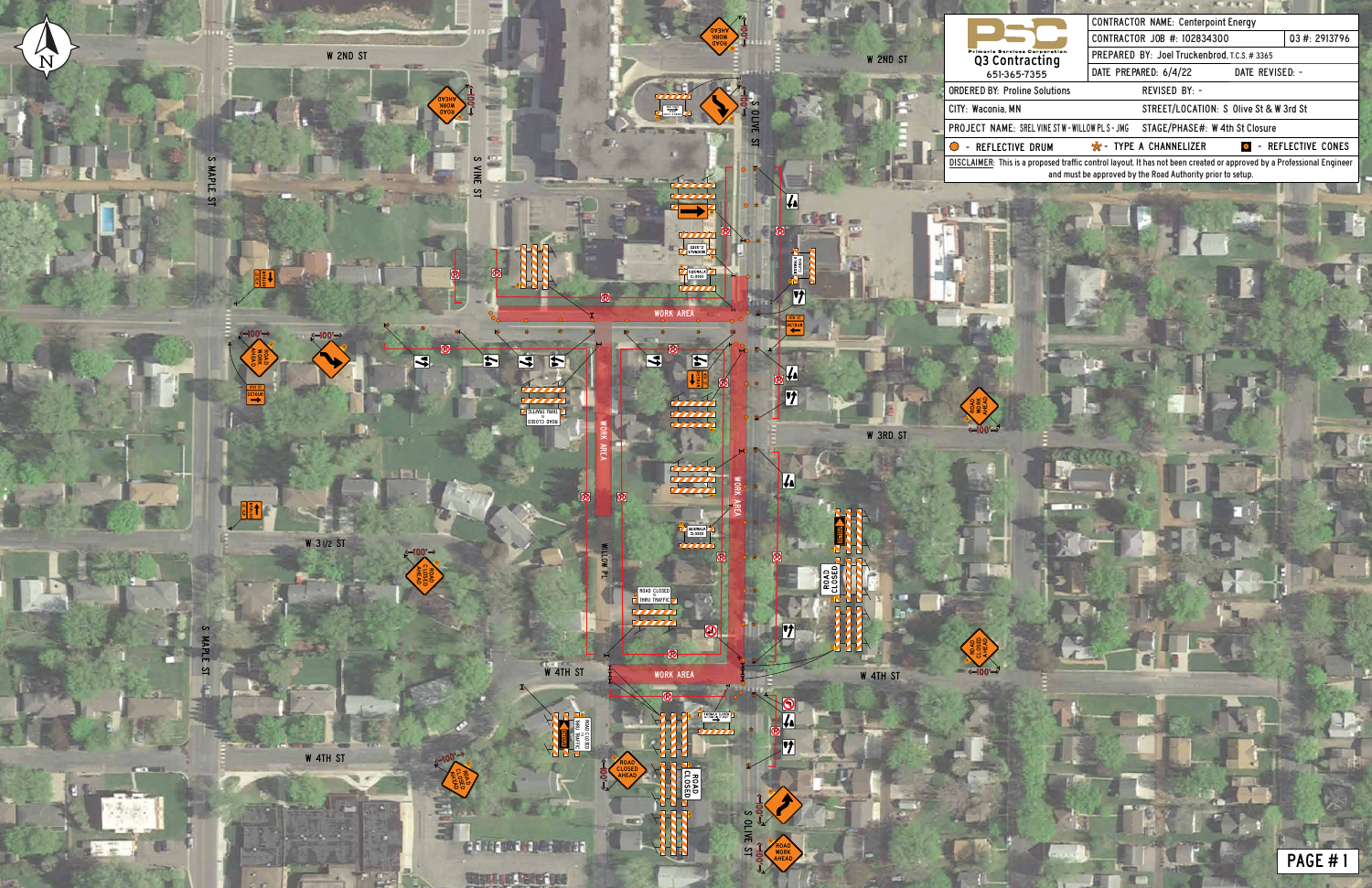